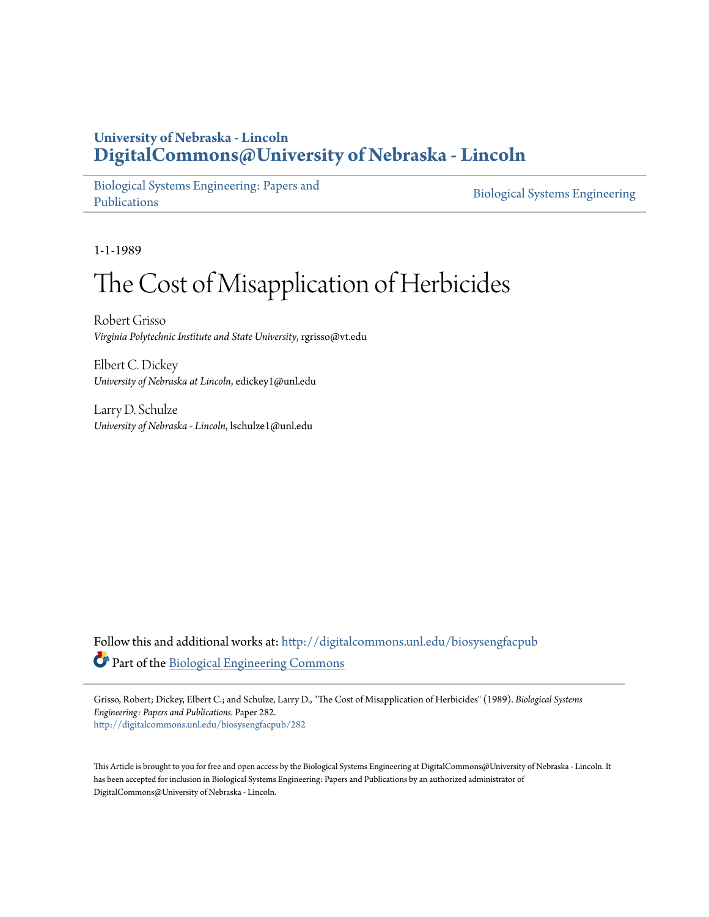### **University of Nebraska - Lincoln [DigitalCommons@University of Nebraska - Lincoln](http://digitalcommons.unl.edu?utm_source=digitalcommons.unl.edu%2Fbiosysengfacpub%2F282&utm_medium=PDF&utm_campaign=PDFCoverPages)**

[Biological Systems Engineering: Papers and](http://digitalcommons.unl.edu/biosysengfacpub?utm_source=digitalcommons.unl.edu%2Fbiosysengfacpub%2F282&utm_medium=PDF&utm_campaign=PDFCoverPages) [Publications](http://digitalcommons.unl.edu/biosysengfacpub?utm_source=digitalcommons.unl.edu%2Fbiosysengfacpub%2F282&utm_medium=PDF&utm_campaign=PDFCoverPages)

[Biological Systems Engineering](http://digitalcommons.unl.edu/agbiosyseng?utm_source=digitalcommons.unl.edu%2Fbiosysengfacpub%2F282&utm_medium=PDF&utm_campaign=PDFCoverPages)

1-1-1989

# The Cost of Misapplication of Herbicides

Robert Grisso *Virginia Polytechnic Institute and State University*, rgrisso@vt.edu

Elbert C. Dickey *University of Nebraska at Lincoln*, edickey1@unl.edu

Larry D. Schulze *University of Nebraska - Lincoln*, lschulze1@unl.edu

Follow this and additional works at: [http://digitalcommons.unl.edu/biosysengfacpub](http://digitalcommons.unl.edu/biosysengfacpub?utm_source=digitalcommons.unl.edu%2Fbiosysengfacpub%2F282&utm_medium=PDF&utm_campaign=PDFCoverPages) Part of the [Biological Engineering Commons](http://network.bepress.com/hgg/discipline/230?utm_source=digitalcommons.unl.edu%2Fbiosysengfacpub%2F282&utm_medium=PDF&utm_campaign=PDFCoverPages)

Grisso, Robert; Dickey, Elbert C.; and Schulze, Larry D., "The Cost of Misapplication of Herbicides" (1989). *Biological Systems Engineering: Papers and Publications.* Paper 282. [http://digitalcommons.unl.edu/biosysengfacpub/282](http://digitalcommons.unl.edu/biosysengfacpub/282?utm_source=digitalcommons.unl.edu%2Fbiosysengfacpub%2F282&utm_medium=PDF&utm_campaign=PDFCoverPages)

This Article is brought to you for free and open access by the Biological Systems Engineering at DigitalCommons@University of Nebraska - Lincoln. It has been accepted for inclusion in Biological Systems Engineering: Papers and Publications by an authorized administrator of DigitalCommons@University of Nebraska - Lincoln.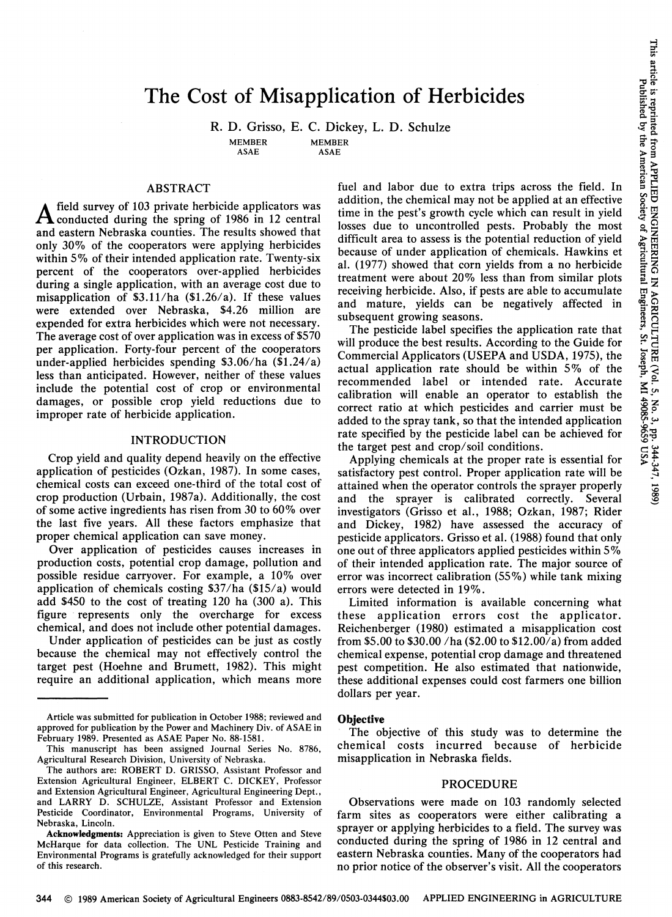# The Cost of Misapplication of Herbicides

R. D. Grisso, E. C. Dickey, L. D. Schulze

MEMBER

**MEMBER** ASAE

ASAE

### ABSTRACT

 $A$  field survey of 103 private herbicide applicators was conducted during the spring of 1986 in 12 central and eastern Nebraska counties. The results showed that only 30% of the cooperators were applying herbicides within 5% of their intended application rate. Twenty-six percent of the cooperators over-applied herbicides during a single application, with an average cost due to misapplication of  $$3.11/ha$  (\$1.26/a). If these values were extended over Nebraska, \$4.26 million are expended for extra herbicides which were not necessary. The average cost of over application was in excess of \$570 per application. Forty-four percent of the cooperators under-applied herbicides spending \$3.06/ha (\$1.24/a) less than anticipated. However, neither of these values include the potential cost of crop or environmental damages, or possible crop yield reductions due to improper rate of herbicide application.

### INTRODUCTION

Crop yield and quality depend heavily on the effective application of pesticides (Ozkan, 1987). In some cases, chemical costs can exceed one-third of the total cost of crop production (Urbain, 1987a). Additionally, the cost of some active ingredients has risen from 30 to 60% over the last five years. All these factors emphasize that proper chemical application can save money.

Over application of pesticides causes increases in production costs, potential crop damage, pollution and possible residue carryover. For example, a 10% over application of chemicals costing  $$37/ha ($15/a)$  would add \$450 to the cost of treating 120 ha (300 a). This figure represents only the overcharge for excess chemical, and does not include other potential damages.

Under application of pesticides can be just as costly because the chemical may not effectively control the target pest (Hoehne and Brumett, 1982). This might require an additional application, which means more

fuel and labor due to extra trips across the field. In addition, the chemical may not be applied at an effective time in the pest's growth cycle which can result in yield losses due to uncontrolled pests. Probably the most difficult area to assess is the potential reduction of yield because of under application of chemicals. Hawkins et al. (1977) showed that corn yields from a no herbicide treatment were about 20% less than from similar plots receiving herbicide. Also, if pests are able to accumulate and mature, yields can be negatively affected in subsequent growing seasons.

The pesticide label specifies the application rate that will produce the best results. According to the Guide for Commercial Applicators (USEPA and USDA, 1975), the actual application rate should be within 5% of the recommended label or intended rate. Accurate calibration will enable an operator to establish the correct ratio at which pesticides and carrier must be added to the spray tank, so that the intended application rate specified by the pesticide label can be achieved for the target pest and crop/soil conditions.

Applying chemicals at the proper rate is essential for satisfactory pest control. Proper application rate will be attained when the operator controls the sprayer properly and the sprayer is calibrated correctly. Several investigators (Grisso et al., 1988; Ozkan, 1987; Rider and Dickey, 1982) have assessed the accuracy of pesticide applicators. Grisso et al. (1988) found that only one out of three applicators applied pesticides within 5% of their intended application rate. The major source of error was incorrect calibration (55%) while tank mixing errors were detected in 19%.

Limited information is available concerning what these application errors cost the applicator. Reichenberger (1980) estimated a misapplication cost from \$5.00 to \$30.00 /ha (\$2.00 to \$12.00/a) from added chemical expense, potential crop damage and threatened pest competition. He also estimated that nationwide, these additional expenses could cost farmers one billion dollars per year.

#### **Objective**

The objective of this study was to determine the chemical costs incurred because of herbicide misapplication in Nebraska fields.

### PROCEDURE

Observations were made on 103 randomly selected farm sites as cooperators were either calibrating a sprayer or applying herbicides to a field. The survey was conducted during the spring of 1986 in 12 central and eastern Nebraska counties. Many of the cooperators had no prior notice of the observer's visit. All the cooperators

Article was submitted for publication in October 1988; reviewed and approved for publication by the Power and Machinery Div. of ASAE in February 1989. Presented as ASAE Paper No. 88-1581.

This manuscript has been assigned Journal Series No. 8786, Agricultural Research Division, University of Nebraska.

The authors are: ROBERT D. GRISSO, Assistant Professor and Extension Agricultural Engineer, ELBERT C. DICKEY, Professor and Extension Agricultural Engineer, Agricultural Engineering Dept., and LARRY D. SCHULZE, Assistant Professor and Extension Pesticide Coordinator, Environmental Programs, University of Nebraska, Lincoln.

Acknowledgments: Appreciation is given to Steve Otten and Steve McHarque for data collection. The UNL Pesticide Training and Environmental Programs is gratefully acknowledged for their support of this research.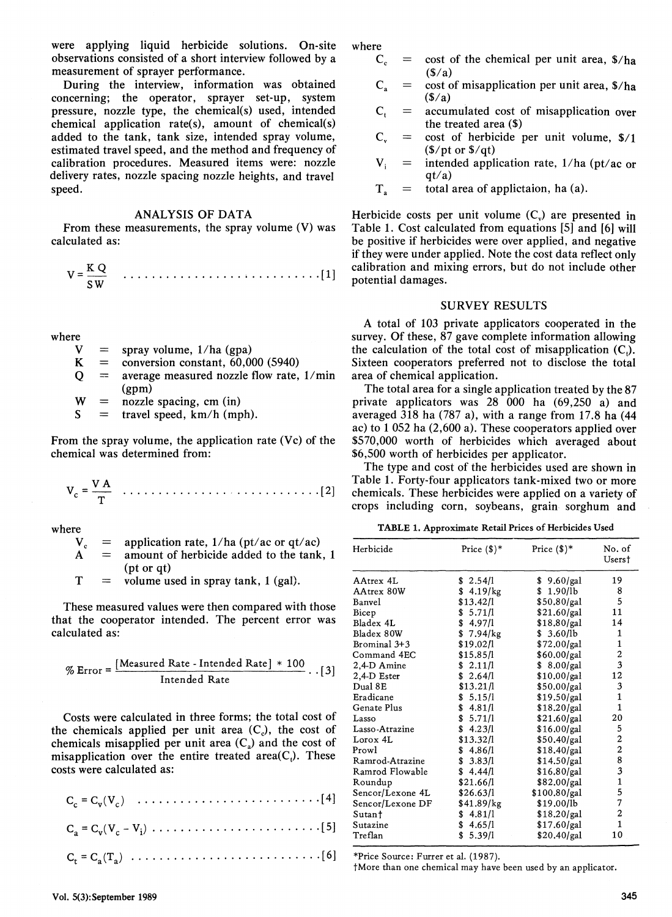were applying liquid herbicide solutions. On-site where observations consisted of a short interview followed by a  $C_c$  = cost of the chemical per unit area,  $\frac{s}{h}$ measurement of sprayer performance.<br>
During the interview, information was obtained  $C_a = \text{cost of misapplication per unit area, $/ha}$ 

During the interview, information was obtained  $C_a = \cos t$  oncerning: the operator, sprayer set-up, system  $(S/a)$ concerning; the operator, sprayer set-up, system  $(S/a)$ <br>pressure, nozzle type, the chemical(s) used, intended  $C_i$  = accumulated cost of misapplication over pressure, nozzle type, the chemical(s) used, intended  $C_t$  = accumulated cost of chemical application rate(s), amount of chemical(s) the treated area (\$) chemical application rate(s), amount of chemical(s) the treated area (\$)<br>added to the tank, tank size, intended spray volume,  $C_v = \text{cost of herbicide per unit volume, }$  \$/1 added to the tank, tank size, intended spray volume,  $C_v = \text{cost of herbiic}$ <br>estimated travel speed, and the method and frequency of  $\frac{S}{\text{tot}}$  (\$/pt or \$/qt) estimated travel speed, and the method and frequency of  $\frac{f}{f}$  (\$/pt or \$/qt)<br>calibration procedures. Measured items were: nozzle  $V_i$  = intended application rate, 1/ha (pt/ac or calibration procedures. Measured items were: nozzle  $V_i$  = intended application rate, nozzle spacing nozzle heights, and travel  $q_t/a$ delivery rates, nozzle spacing nozzle heights, and travel speed.  $T_a$ speed. T<sub>a</sub> total area of applictaion, ha (a).

### ANALYSIS OF DATA

From these measurements, the spray volume (V) was calculated as:

$$
V = \frac{K Q}{SW} \qquad \qquad \ldots \qquad \qquad \ldots \qquad \qquad \ldots \qquad \ldots \qquad \qquad \ldots \qquad \qquad \ldots \qquad \qquad \ldots \qquad \qquad \lbrack 1]
$$

where

 $V =$ <br> $K =$ spray volume, 1/ha (gpa)

- $\equiv$ conversion constant, 60,000 (5940)
- $\mathbf O$ average measured nozzle flow rate, 1/min (gpm)

w<br>s  $=$ nozzle spacing, em (in)

 $=$ travel speed, km/h (mph).

From the spray volume, the application rate (Vc) of the chemical was determined from:

Vc = VTA ...•.•..............•....... [2]

where

- $V_c$  = application rate, 1/ha (pt/ac or qt/ac)
- $A =$  amount of herbicide added to the tank, 1 (pt or qt)
- $T =$  volume used in spray tank, 1 (gal).

These measured values were then compared with those that the cooperator intended. The percent error was calculated as:

$$
\% Error = \frac{[Measured Rate - Intended Rate] * 100}{Intended Rate} \cdot .[3]
$$

Costs were calculated in three forms; the total cost of the chemicals applied per unit area  $(C<sub>c</sub>)$ , the cost of chemicals misapplied per unit area  $(C_a)$  and the cost of misapplication over the entire treated area( $C<sub>t</sub>$ ). These costs were calculated as:

 $C_a = C_v (V_c - V_i) \dots \dots \dots \dots \dots \dots \dots \dots \dots \dots$  [5]

Ct = Ca (T a) . . . . . . . . . . . • . . . . . . . • . • • . . • . [ 6]

- 
- 
- 
- 
- 

Herbicide costs per unit volume  $(C_n)$  are presented in Table 1. Cost calculated from equations [5] and [6] will be positive if herbicides were over applied, and negative if they were under applied. Note the cost data reflect only calibration and mixing errors, but do not include other potential damages.

### SURVEY RESULTS

A total of 103 private applicators cooperated in the survey. Of these, 87 gave complete information allowing the calculation of the total cost of misapplication  $(C<sub>i</sub>)$ . Sixteen cooperators preferred not to disclose the total area of chemical application.

The total area for a single application treated by the 87 private applicators was 28 000 ha (69,250 a) and averaged  $318$  ha (787 a), with a range from 17.8 ha (44) ac) to 1 052 ha (2,600 a). These cooperators applied over \$570,000 worth of herbicides which averaged about \$6,500 worth of herbicides per applicator.

The type and cost of the herbicides used are shown in Table 1. Forty-four applicators tank-mixed two or more chemicals. These herbicides were applied on a variety of crops including corn, soybeans, grain sorghum and

TABLE 1. Approximate Retail Prices of Herbicides Used

| Herbicide        | Price $(\text{$})^*$ | Price $(\text{$})^*$ | No. of<br>Users†                           |  |  |
|------------------|----------------------|----------------------|--------------------------------------------|--|--|
| AAtrex 4L        | \$2.54/1             | \$9.60/gal           | 19                                         |  |  |
| AAtrex 80W       | $4.19$ / $kg$<br>\$  | \$1.90/lb            | 8                                          |  |  |
| Banvel           | \$13.42/1            | \$50.80/gal          | 5                                          |  |  |
| Bicep            | \$5.71/1             | \$21.60/gal          | 11                                         |  |  |
| Bladex 4L        | \$4.97/1             | \$18.80/gal          | 14                                         |  |  |
| Bladex 80W       | \$<br>$7.94$ /kg     | \$3.60/lb            | $\mathbf{1}$                               |  |  |
| Brominal 3+3     | \$19.02/1            | \$72.00/gal          | $\mathbf{1}$                               |  |  |
| Command 4EC      | \$15.85/l            | \$60.00/gal          | $\overline{\mathbf{c}}$                    |  |  |
| 2,4-D Amine      | 2.11/l<br>\$         | \$8.00/gal           | $\overline{\mathbf{3}}$                    |  |  |
| 2,4-D Ester      | 2,64/1<br>\$         | \$10.00/gal          | 12                                         |  |  |
| Dual 8E          | \$13.21/l            | \$50.00/gal          | 3                                          |  |  |
| Eradicane        | \$5.15/1             | \$19.50/gal          | $\mathbf{1}$                               |  |  |
| Genate Plus      | \$4.81/l             | \$18.20/gal          | $\overline{1}$                             |  |  |
| Lasso            | \$5.71/l             | \$21.60/gal          | 20                                         |  |  |
| Lasso-Atrazine   | \$4.23/1             | \$16.00/gal          | 5                                          |  |  |
| Lorox 4L         | \$13.32/1            | \$50.40/gal          | $\frac{2}{2}$                              |  |  |
| Prowl            | \$4.86/1             | \$18.40/gal          |                                            |  |  |
| Ramrod-Atrazine  | \$3.83/1             | \$14.50/gal          |                                            |  |  |
| Ramrod Flowable  | \$4.44/1             | \$16.80/gal          | $\begin{array}{c} 8 \\ 3 \\ 1 \end{array}$ |  |  |
| Roundup          | \$21.66/1            | \$82.00/gal          |                                            |  |  |
| Sencor/Lexone 4L | \$26.63/1            | \$100.80/gal         | 5                                          |  |  |
| Sencor/Lexone DF | \$41.89/kg           | \$19.00/lb           | $\overline{7}$                             |  |  |
| Sutant           | 4.81/1<br>\$         | \$18.20/gal          | $\overline{\mathbf{c}}$                    |  |  |
| Sutazine         | \$4.65/1             | \$17.60/gal          | $\mathbf{1}$                               |  |  |
| Treflan          | \$5.39/1             | \$20.40/gal          | 10                                         |  |  |

\*Price Source: Furrer et al. (1987).

tMore than one chemical may have been used by an applicator.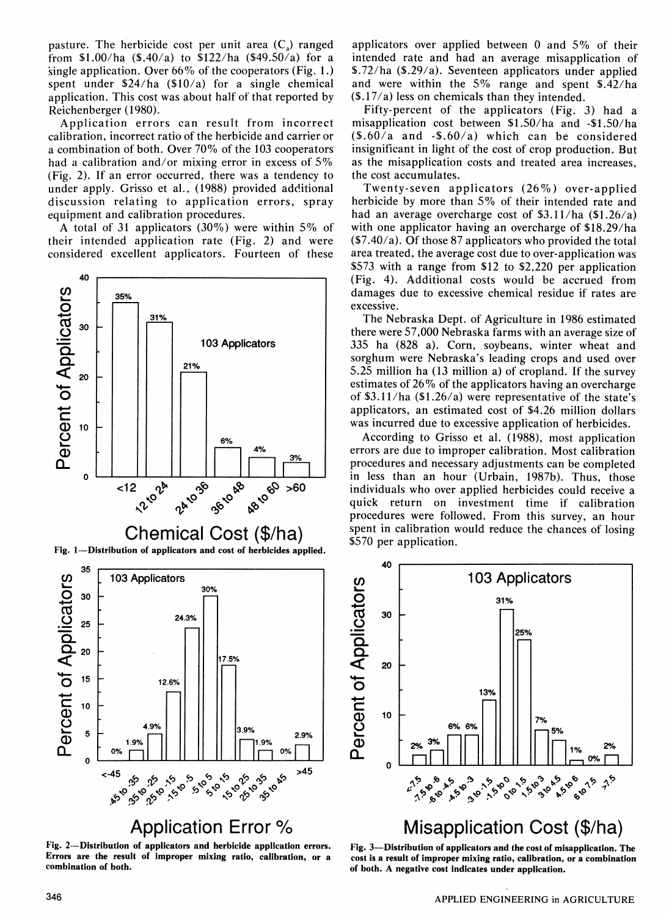pasture. The herbicide cost per unit area  $(C_{\alpha})$  ranged from \$1.00/ha (\$.40/a) to \$122/ha (\$49.50/a) for a single application. Over  $66\%$  of the cooperators (Fig. 1.) spent under  $$24/ha$  (\$10/a) for a single chemical application. This cost was about half of that reported by Reichenberger ( 1980).

Application errors can result from incorrect calibration, incorrect ratio of the herbicide and carrier or a combination of both. Over  $70\%$  of the 103 cooperators had a calibration and/or mixing error in excess of  $5\%$ (Fig. 2). If an error occurred, there was a tendency to under apply. Grisso et al., (1988) provided additional discussion relating to application errors, spray equipment and calibration procedures.

A total of 31 applicators  $(30\%)$  were within 5% of their intended application rate (Fig. 2) and were considered excellent applicators. Fourteen of these



Fig. 2-Distribution of applicators and herbicide application errors. Errors are the result of improper mixing ratio, calibration, or a

applicators over applied between 0 and  $5\%$  of their intended rate and had an average misapplication of \$.72/ha (\$.29/a). Seventeen applicators under applied and were within the 5% range and spent  $\frac{242}{ha}$  $(17/a)$  less on chemicals than they intended.

Fifty-percent of the applicators (Fig. 3) had a misapplication cost between \$1.50/ha and -\$1.50/ha (\$.60/a and -\$.60/a) which can be considered insignificant in light of the cost of crop production. But as the misapplication costs and treated area increases, the cost accumulates.

Twenty-seven applicators  $(26\%)$  over-applied herbicide by more than  $5\%$  of their intended rate and had an average overcharge cost of  $$3.11/ha$  (\$1.26/a) with one applicator having an overcharge of \$18.29/ha  $(57.40/a)$ . Of those 87 applicators who provided the total area treated, the average cost due to over-application was \$573 with a range from \$12 to \$2,220 per application (Fig. 4). Additional costs would be accrued from damages due to excessive chemical residue if rates are excessive.

The Nebraska Dept. of Agriculture in 1986 estimated there were 57,000 Nebraska farms with an average size of 335 ha (828 a). Corn, soybeans, winter wheat and sorghum were Nebraska's leading crops and used over 5.25 million ha (13 million a) of cropland. If the survey estimates of  $26\%$  of the applicators having an overcharge of \$3.11/ha  $(\frac{$1.26}{a})$  were representative of the state's applicators, an estimated cost of \$4.26 million dollars was incurred due to excessive application of herbicides.

According to Grisso et al. (1988), most application errors are due to improper calibration. Most calibration procedures and necessary adjustments can be completed in less than an hour (Urbain, 1987b). Thus, those individuals who over applied herbicides could receive a quick return on investment time if calibration procedures were followed. From this survey, an hour spent in calibration would reduce the chances of losing \$570 per application.



# **Misapplication Cost (\$/ha)**

Fig. 3-Distribution of applicators and the cost of misapplication. The cost is a result of improper mixing ratio, calibration, or a combination of both. A negative cost indicates under application.

combination of both.